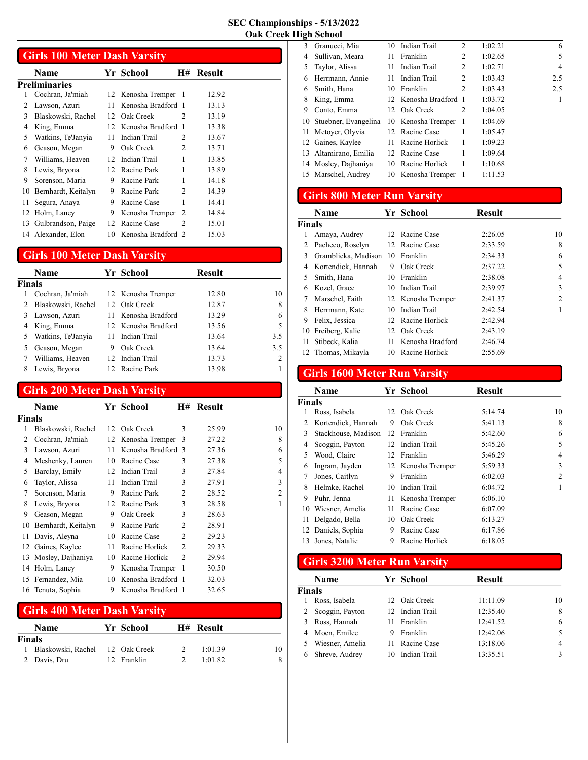J

|    | <b>Girls 100 Meter Dash Varsity</b> |    |                    |                |        |  |  |  |
|----|-------------------------------------|----|--------------------|----------------|--------|--|--|--|
|    | Name                                |    | Yr School          | H#             | Result |  |  |  |
|    | Preliminaries                       |    |                    |                |        |  |  |  |
| 1  | Cochran, Ja'miah                    |    | 12 Kenosha Tremper | - 1            | 12.92  |  |  |  |
| 2  | Lawson, Azuri                       | 11 | Kenosha Bradford 1 |                | 13.13  |  |  |  |
| 3  | Blaskowski, Rachel                  | 12 | Oak Creek          | $\mathfrak{D}$ | 13.19  |  |  |  |
| 4  | King, Emma                          | 12 | Kenosha Bradford 1 |                | 13.38  |  |  |  |
| 5  | Watkins, Te'Janyia                  | 11 | Indian Trail       | $\mathfrak{D}$ | 13.67  |  |  |  |
| 6  | Geason, Megan                       | 9  | Oak Creek          | $\mathfrak{D}$ | 13.71  |  |  |  |
| 7  | Williams, Heaven                    | 12 | Indian Trail       | 1              | 13.85  |  |  |  |
| 8  | Lewis, Bryona                       | 12 | Racine Park        | 1              | 13.89  |  |  |  |
| 9  | Sorenson, Maria                     | 9  | Racine Park        | 1              | 14.18  |  |  |  |
| 10 | Bernhardt, Keitalyn                 | 9  | Racine Park        | 2              | 14.39  |  |  |  |
| 11 | Segura, Anaya                       | 9  | Racine Case        | 1              | 14.41  |  |  |  |
| 12 | Holm, Laney                         | 9  | Kenosha Tremper    | $\overline{c}$ | 14.84  |  |  |  |
| 13 | Gulbrandson, Paige                  | 12 | Racine Case        | $\mathfrak{D}$ | 15.01  |  |  |  |
|    | 14 Alexander, Elon                  | 10 | Kenosha Bradford 2 |                | 15.03  |  |  |  |

# Girls 100 Meter Dash Varsity

|               | Name               |                 | Yr School           | Result |     |
|---------------|--------------------|-----------------|---------------------|--------|-----|
| Finals        |                    |                 |                     |        |     |
|               | Cochran, Ja'miah   |                 | 12 Kenosha Tremper  | 12.80  | 10  |
| $\mathcal{L}$ | Blaskowski, Rachel |                 | 12 Oak Creek        | 12.87  | 8   |
| 3             | Lawson, Azuri      |                 | Kenosha Bradford    | 13.29  | 6   |
| 4             | King, Emma         |                 | 12 Kenosha Bradford | 13.56  | 5   |
| 5             | Watkins, Te'Janyia |                 | Indian Trail        | 13.64  | 3.5 |
|               | Geason, Megan      | 9               | Oak Creek           | 13.64  | 3.5 |
|               | Williams, Heaven   | 12 <sup>1</sup> | Indian Trail        | 13.73  | 2   |
|               | Lewis, Bryona      |                 | 12 Racine Park      | 13.98  |     |

## Girls 200 Meter Dash Varsity

|               | Name                |    | Yr School          | H#             | Result |                |
|---------------|---------------------|----|--------------------|----------------|--------|----------------|
| <b>Finals</b> |                     |    |                    |                |        |                |
|               | Blaskowski, Rachel  |    | 12 Oak Creek       | 3              | 25.99  | 10             |
| 2             | Cochran, Ja'miah    | 12 | Kenosha Tremper    | 3              | 27.22  | 8              |
| 3             | Lawson, Azuri       | 11 | Kenosha Bradford 3 |                | 27.36  | 6              |
| 4             | Meshenky, Lauren    | 10 | Racine Case        | 3              | 27.38  | 5              |
| 5             | Barclay, Emily      | 12 | Indian Trail       | 3              | 27.84  | 4              |
| 6             | Taylor, Alissa      | 11 | Indian Trail       | 3              | 27.91  | 3              |
| 7             | Sorenson, Maria     | 9  | Racine Park        | 2              | 28.52  | $\overline{2}$ |
| 8             | Lewis, Bryona       | 12 | Racine Park        | 3              | 28.58  | 1              |
| 9             | Geason, Megan       | 9  | Oak Creek          | 3              | 28.63  |                |
| 10            | Bernhardt, Keitalyn | 9  | Racine Park        | 2              | 28.91  |                |
| 11            | Davis, Aleyna       | 10 | Racine Case        | 2              | 29.23  |                |
| 12            | Gaines, Kaylee      | 11 | Racine Horlick     | $\mathcal{L}$  | 29.33  |                |
| 13            | Mosley, Dajhaniya   | 10 | Racine Horlick     | $\mathfrak{D}$ | 29.94  |                |
| 14            | Holm, Laney         | 9  | Kenosha Tremper    | 1              | 30.50  |                |
| 15            | Fernandez, Mia      | 10 | Kenosha Bradford 1 |                | 32.03  |                |
|               | 16 Tenuta, Sophia   | 9  | Kenosha Bradford 1 |                | 32.65  |                |

## Girls 400 Meter Dash Varsity

|        | <b>Name</b>                     | Yr School   | <b>H# Result</b> |    |
|--------|---------------------------------|-------------|------------------|----|
| Finals |                                 |             |                  |    |
|        | Blaskowski, Rachel 12 Oak Creek |             | 1:01.39          | 10 |
|        | 2 Davis, Dru                    | 12 Franklin | 1:01.82          |    |

| 3  | Granucci, Mia           |                 | 10 Indian Trail       | 2                           | 1:02.21 | 6   |
|----|-------------------------|-----------------|-----------------------|-----------------------------|---------|-----|
| 4  | Sullivan, Meara         | 11              | Franklin              | 2                           | 1:02.65 | 5   |
| 5  | Taylor, Alissa          | 11              | Indian Trail          | 2                           | 1:02.71 | 4   |
| 6  | Herrmann, Annie         | 11              | Indian Trail          | 2                           | 1:03.43 | 2.5 |
| 6  | Smith, Hana             | 10              | Franklin              | $\overline{c}$              | 1:03.43 | 2.5 |
| 8  | King, Emma              |                 | 12 Kenosha Bradford 1 |                             | 1:03.72 | 1   |
| 9  | Conto, Emma             |                 | 12 Oak Creek          | $\mathcal{D}_{\mathcal{L}}$ | 1:04.05 |     |
|    | 10 Stuebner, Evangelina |                 | 10 Kenosha Tremper    | 1                           | 1:04.69 |     |
| 11 | Metoyer, Olyvia         | 12 <sup>1</sup> | Racine Case           | 1                           | 1:05.47 |     |
|    | 12 Gaines, Kaylee       | 11.             | Racine Horlick        | 1                           | 1:09.23 |     |
|    | 13 Altamirano, Emilia   | 12              | Racine Case           | 1                           | 1:09.64 |     |
|    | 14 Mosley, Dajhaniya    | 10              | Racine Horlick        | 1                           | 1:10.68 |     |
|    | 15 Marschel, Audrey     |                 | 10 Kenosha Tremper    | -1                          | 1:11.53 |     |
|    |                         |                 |                       |                             |         |     |

# Girls 800 Meter Run Varsity

|               | <b>Name</b>         |                 | Yr School          | <b>Result</b> |                |
|---------------|---------------------|-----------------|--------------------|---------------|----------------|
| <b>Finals</b> |                     |                 |                    |               |                |
|               | Amaya, Audrey       |                 | 12 Racine Case     | 2:26.05       | 10             |
|               | Pacheco, Roselyn    | 12 <sub>1</sub> | Racine Case        | 2:33.59       | 8              |
| 3             | Gramblicka, Madison | 10              | Franklin           | 2:34.33       | 6              |
| 4             | Kortendick, Hannah  | 9               | Oak Creek          | 2:37.22       | 5              |
| 5             | Smith, Hana         | 10              | Franklin           | 2:38.08       | 4              |
| 6             | Kozel, Grace        | 10              | Indian Trail       | 2:39.97       | 3              |
|               | Marschel, Faith     |                 | 12 Kenosha Tremper | 2:41.37       | $\overline{c}$ |
| 8             | Herrmann, Kate      | 10              | Indian Trail       | 2:42.54       |                |
| 9             | Felix, Jessica      | 12              | Racine Horlick     | 2:42.94       |                |
| 10            | Freiberg, Kalie     | 12              | Oak Creek          | 2:43.19       |                |
| 11            | Stibeck, Kalia      | 11              | Kenosha Bradford   | 2:46.74       |                |
| 12            | Thomas, Mikayla     | 10              | Racine Horlick     | 2:55.69       |                |

## Girls 1600 Meter Run Varsity

|        | <b>Name</b>         |    | Yr School          | <b>Result</b> |                |
|--------|---------------------|----|--------------------|---------------|----------------|
| Finals |                     |    |                    |               |                |
| 1      | Ross, Isabela       |    | 12 Oak Creek       | 5:14.74       | 10             |
| 2      | Kortendick, Hannah  | 9  | Oak Creek          | 5:41.13       | 8              |
| 3      | Stackhouse, Madison | 12 | Franklin           | 5:42.60       | 6              |
| 4      | Scoggin, Payton     | 12 | Indian Trail       | 5:45.26       | 5              |
| 5      | Wood, Claire        |    | 12 Franklin        | 5:46.29       | 4              |
| 6      | Ingram, Jayden      |    | 12 Kenosha Tremper | 5:59.33       | 3              |
| 7      | Jones, Caitlyn      | 9  | Franklin           | 6:02.03       | $\overline{2}$ |
| 8      | Helmke, Rachel      | 10 | Indian Trail       | 6:04.72       | 1              |
| 9      | Puhr, Jenna         | 11 | Kenosha Tremper    | 6:06.10       |                |
| 10     | Wiesner, Amelia     | 11 | Racine Case        | 6:07.09       |                |
| 11     | Delgado, Bella      | 10 | Oak Creek          | 6:13.27       |                |
|        | 12 Daniels, Sophia  | 9  | Racine Case        | 6:17.86       |                |
| 13     | Jones, Natalie      | 9  | Racine Horlick     | 6:18.05       |                |

# Girls 3200 Meter Run Varsity

|               | <b>Name</b>     |     | Yr School       | <b>Result</b> |    |
|---------------|-----------------|-----|-----------------|---------------|----|
| <b>Finals</b> |                 |     |                 |               |    |
|               | Ross, Isabela   | 12. | Oak Creek       | 11:11.09      | 10 |
| 2             | Scoggin, Payton |     | 12 Indian Trail | 12:35.40      | 8  |
|               | Ross, Hannah    |     | Franklin        | 12:41.52      | 6  |
|               | Moen, Emilee    | 9   | Franklin        | 12:42.06      | 5  |
|               | Wiesner, Amelia |     | Racine Case     | 13:18.06      | 4  |
|               | Shreve, Audrey  | 10  | Indian Trail    | 13:35.51      | 3  |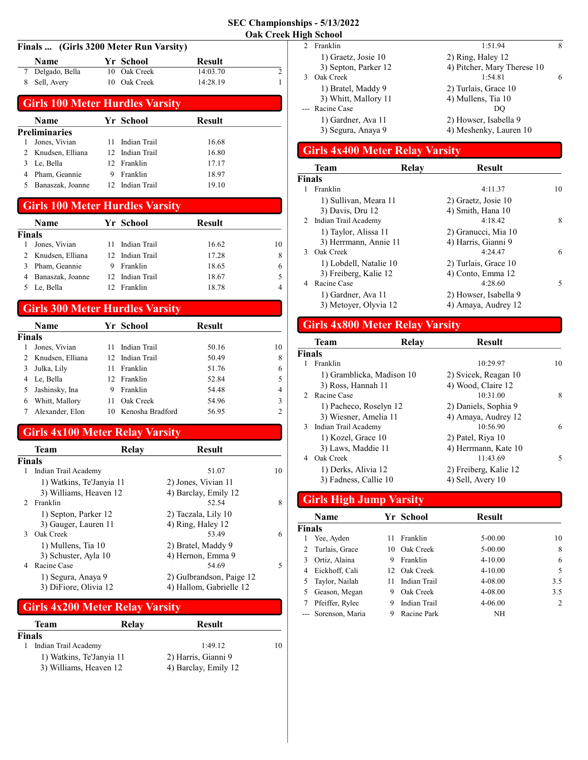#### Finals ... (Girls 3200 Meter Run Varsity)

| <b>Name</b>      | Yr School    | <b>Result</b> |  |
|------------------|--------------|---------------|--|
| 7 Delgado, Bella | 10 Oak Creek | 14:03.70      |  |
| 8 Sell, Avery    | 10 Oak Creek | 14:28.19      |  |

# Girls 100 Meter Hurdles Varsity

| <b>Name</b>        |    |          | Result                                                                         |  |
|--------------------|----|----------|--------------------------------------------------------------------------------|--|
| Preliminaries      |    |          |                                                                                |  |
| Jones, Vivian      | 11 |          | 16.68                                                                          |  |
| 2 Knudsen, Elliana |    |          | 16.80                                                                          |  |
| Le, Bella          |    |          | 17.17                                                                          |  |
| Pham, Geannie      | 9  | Franklin | 18.97                                                                          |  |
| Banaszak, Joanne   |    |          | 19.10                                                                          |  |
|                    |    |          | Yr School<br>Indian Trail<br>12 Indian Trail<br>12 Franklin<br>12 Indian Trail |  |

#### Girls 100 Meter Hurdles Varsity

|        | <b>Name</b>      | Yr School       | Result |    |
|--------|------------------|-----------------|--------|----|
| Finals |                  |                 |        |    |
|        | Jones, Vivian    | 11 Indian Trail | 16.62  | 10 |
|        | Knudsen, Elliana | 12 Indian Trail | 17.28  | 8  |
|        | Pham, Geannie    | Franklin        | 18.65  | 6  |
|        | Banaszak, Joanne | 12 Indian Trail | 18.67  | 5  |
|        | Le, Bella        | 12 Franklin     | 18.78  | 4  |

## Girls 300 Meter Hurdles Varsity

|        | <b>Name</b>      |     | Yr School        | Result |                |
|--------|------------------|-----|------------------|--------|----------------|
| Finals |                  |     |                  |        |                |
|        | Jones, Vivian    |     | Indian Trail     | 50.16  | 10             |
|        | Knudsen, Elliana |     | 12 Indian Trail  | 50.49  | 8              |
|        | Julka, Lily      | 11  | Franklin         | 51.76  | 6              |
|        | Le, Bella        |     | 12 Franklin      | 52.84  |                |
|        | Jashinsky, Ina   | 9   | Franklin         | 54.48  | $\overline{4}$ |
| 6      | Whitt, Mallory   |     | Oak Creek        | 54.96  | 3              |
|        | Alexander, Elon  | 10. | Kenosha Bradford | 56.95  | 2              |

#### Girls 4x100 Meter Relay Varsity

|               | <b>Team</b>                                                | Relay | <b>Result</b>                                                |    |
|---------------|------------------------------------------------------------|-------|--------------------------------------------------------------|----|
| Finals        |                                                            |       |                                                              |    |
| 1             | Indian Trail Academy                                       |       | 51.07                                                        | 10 |
|               | 1) Watkins, Te'Janyia 11                                   |       | 2) Jones, Vivian 11                                          |    |
| $\mathcal{D}$ | 3) Williams, Heaven 12<br>Franklin                         |       | 4) Barclay, Emily 12<br>52.54                                | 8  |
|               | 1) Septon, Parker 12<br>3) Gauger, Lauren 11               |       | 2) Taczala, Lily 10<br>4) Ring, Haley 12                     |    |
| 3             | Oak Creek<br>1) Mullens, Tia 10<br>3) Schuster, Ayla 10    |       | 53.49<br>2) Bratel, Maddy 9<br>4) Hernon, Emma 9             | 6  |
| 4             | Racine Case<br>1) Segura, Anaya 9<br>3) DiFiore, Olivia 12 |       | 54.69<br>2) Gulbrandson, Paige 12<br>4) Hallom, Gabrielle 12 | 5  |

### Girls 4x200 Meter Relay Varsity

| Team                     | Relay | Result               |    |
|--------------------------|-------|----------------------|----|
| Finals                   |       |                      |    |
| Indian Trail Academy     |       | 1:49.12              | 10 |
| 1) Watkins, Te'Janyia 11 |       | 2) Harris, Gianni 9  |    |
| 3) Williams, Heaven 12   |       | 4) Barclay, Emily 12 |    |

|                | ідн эсполі           |                             |   |
|----------------|----------------------|-----------------------------|---|
| $\mathfrak{D}$ | Franklin             | 1:51.94                     | 8 |
|                | 1) Graetz, Josie 10  | 2) Ring, Haley 12           |   |
|                | 3) Septon, Parker 12 | 4) Pitcher, Mary Therese 10 |   |
|                | Oak Creek            | 1:54.81                     | 6 |
|                | 1) Bratel, Maddy 9   | 2) Turlais, Grace 10        |   |
|                | 3) Whitt, Mallory 11 | 4) Mullens, Tia 10          |   |
|                | --- Racine Case      | DO                          |   |
|                | 1) Gardner, Ava 11   | 2) Howser, Isabella 9       |   |
|                | 3) Segura, Anaya 9   | 4) Meshenky, Lauren 10      |   |
|                |                      |                             |   |

# Girls 4x400 Meter Relay Varsity

|               | Team                   | Relay | <b>Result</b>         |    |
|---------------|------------------------|-------|-----------------------|----|
| <b>Finals</b> |                        |       |                       |    |
|               | Franklin               |       | 4:11.37               | 10 |
|               | 1) Sullivan, Meara 11  |       | 2) Graetz, Josie 10   |    |
|               | 3) Davis, Dru 12       |       | 4) Smith, Hana 10     |    |
|               | 2 Indian Trail Academy |       | 4:18.42               | 8  |
|               | 1) Taylor, Alissa 11   |       | 2) Granucci, Mia 10   |    |
|               | 3) Herrmann, Annie 11  |       | 4) Harris, Gianni 9   |    |
| 3             | Oak Creek              |       | 4:24.47               | 6  |
|               | 1) Lobdell, Natalie 10 |       | 2) Turlais, Grace 10  |    |
|               | 3) Freiberg, Kalie 12  |       | 4) Conto, Emma 12     |    |
|               | Racine Case            |       | 4:28.60               | 5  |
|               | 1) Gardner, Ava 11     |       | 2) Howser, Isabella 9 |    |
|               | 3) Metoyer, Olyvia 12  |       | 4) Amaya, Audrey 12   |    |

# Girls 4x800 Meter Relay Varsity

|               | Team                      | Relav | Result                |    |
|---------------|---------------------------|-------|-----------------------|----|
| <b>Finals</b> |                           |       |                       |    |
|               | Franklin                  |       | 10:29.97              | 10 |
|               | 1) Gramblicka, Madison 10 |       | 2) Svicek, Reagan 10  |    |
|               | 3) Ross, Hannah 11        |       | 4) Wood, Claire 12    |    |
|               | 2 Racine Case             |       | 10:31.00              | 8  |
|               | 1) Pacheco, Roselyn 12    |       | 2) Daniels, Sophia 9  |    |
|               | 3) Wiesner, Amelia 11     |       | 4) Amaya, Audrey 12   |    |
|               | 3 Indian Trail Academy    |       | 10:56.90              | 6  |
|               | 1) Kozel, Grace 10        |       | 2) Patel, Riya 10     |    |
|               | 3) Laws, Maddie 11        |       | 4) Herrmann, Kate 10  |    |
|               | Oak Creek                 |       | 11:43.69              | 5  |
|               | 1) Derks, Alivia 12       |       | 2) Freiberg, Kalie 12 |    |
|               | 3) Fadness, Callie 10     |       | 4) Sell, Avery 10     |    |
|               |                           |       |                       |    |

# Girls High Jump Varsity

|               | <b>Name</b>         |    | Yr School    | <b>Result</b> |     |
|---------------|---------------------|----|--------------|---------------|-----|
| <b>Finals</b> |                     |    |              |               |     |
|               | Yee, Ayden          | 11 | Franklin     | $5 - 00.00$   | 10  |
|               | Turlais, Grace      | 10 | Oak Creek    | $5 - 00.00$   | 8   |
| 3.            | Ortiz, Alaina       | 9  | Franklin     | $4 - 10.00$   | 6   |
| 4             | Eickhoff, Cali      |    | 12 Oak Creek | $4 - 10.00$   | 5   |
|               | Taylor, Nailah      | 11 | Indian Trail | 4-08.00       | 3.5 |
| 5.            | Geason, Megan       | 9  | Oak Creek    | 4-08.00       | 3.5 |
|               | Pfeiffer, Rylee     | 9  | Indian Trail | $4 - 06.00$   | 2   |
|               | --- Sorenson, Maria | 9  | Racine Park  | <b>NH</b>     |     |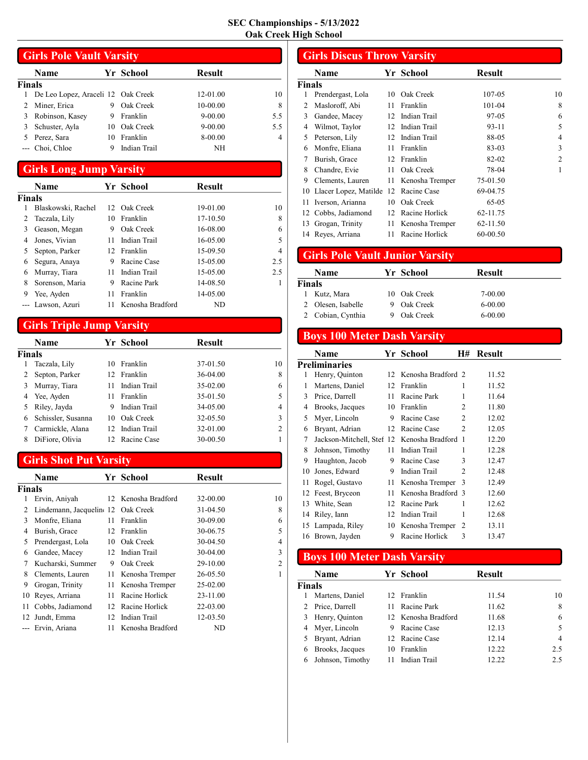|        | <b>Girls Pole Vault Varsity</b>    |    |              |               |     |  |
|--------|------------------------------------|----|--------------|---------------|-----|--|
|        | <b>Name</b>                        |    | Yr School    | <b>Result</b> |     |  |
| Finals |                                    |    |              |               |     |  |
|        | De Leo Lopez, Araceli 12 Oak Creek |    |              | 12-01.00      | 10  |  |
|        | Miner, Erica                       | 9  | Oak Creek    | 10-00.00      | 8   |  |
|        | Robinson, Kasey                    | 9  | Franklin     | $9 - 00.00$   | 5.5 |  |
|        | Schuster, Ayla                     | 10 | Oak Creek    | $9 - 00.00$   | 5.5 |  |
|        | Perez, Sara                        | 10 | Franklin     | 8-00.00       | 4   |  |
|        | --- Choi, Chloe                    | 9  | Indian Trail | NH            |     |  |

#### Girls Long Jump Varsity

|        | Name               |    | Yr School        | <b>Result</b> |     |
|--------|--------------------|----|------------------|---------------|-----|
| Finals |                    |    |                  |               |     |
|        | Blaskowski, Rachel |    | 12 Oak Creek     | 19-01.00      | 10  |
| 2      | Taczala, Lily      | 10 | Franklin         | 17-10.50      | 8   |
| 3      | Geason, Megan      | 9  | Oak Creek        | 16-08.00      | 6   |
| 4      | Jones, Vivian      | 11 | Indian Trail     | $16 - 05.00$  | 5   |
| 5      | Septon, Parker     |    | 12 Franklin      | 15-09.50      | 4   |
| 6      | Segura, Anaya      | 9  | Racine Case      | $15-05.00$    | 2.5 |
| 6      | Murray, Tiara      | 11 | Indian Trail     | $15-05.00$    | 2.5 |
| 8      | Sorenson, Maria    | 9  | Racine Park      | 14-08.50      | 1   |
| 9      | Yee, Ayden         | 11 | Franklin         | $14 - 05.00$  |     |
|        | Lawson, Azuri      | 11 | Kenosha Bradford | ND.           |     |

# Girls Triple Jump Varsity

|               | Name               |     | Yr School    | <b>Result</b> |    |
|---------------|--------------------|-----|--------------|---------------|----|
| <b>Finals</b> |                    |     |              |               |    |
| 1             | Taczala, Lily      | 10  | Franklin     | 37-01.50      | 10 |
|               | Septon, Parker     | 12. | Franklin     | 36-04.00      | 8  |
| 3             | Murray, Tiara      | 11  | Indian Trail | 35-02.00      | 6  |
| 4             | Yee, Ayden         | 11  | Franklin     | 35-01.50      | 5  |
|               | Riley, Jayda       | 9   | Indian Trail | 34-05.00      | 4  |
| 6             | Schissler, Susanna | 10  | Oak Creek    | 32-05.50      | 3  |
|               | Carmickle, Alana   | 12. | Indian Trail | 32-01.00      | 2  |
| 8             | DiFiore, Olivia    | 12. | Racine Case  | 30-00.50      |    |

## Girls Shot Put Varsity

|        | Name                              |    | Yr School           | <b>Result</b> |    |
|--------|-----------------------------------|----|---------------------|---------------|----|
| Finals |                                   |    |                     |               |    |
| 1      | Ervin, Aniyah                     |    | 12 Kenosha Bradford | 32-00.00      | 10 |
| 2      | Lindemann, Jacquelin 12 Oak Creek |    |                     | 31-04.50      | 8  |
| 3      | Monfre, Eliana                    | 11 | Franklin            | 30-09.00      | 6  |
| 4      | Burish, Grace                     |    | 12 Franklin         | 30-06.75      | 5  |
| 5      | Prendergast, Lola                 | 10 | Oak Creek           | 30-04.50      | 4  |
| 6      | Gandee, Macey                     | 12 | Indian Trail        | 30-04.00      | 3  |
| 7      | Kucharski, Summer                 | 9  | Oak Creek           | 29-10.00      | 2  |
| 8      | Clements, Lauren                  | 11 | Kenosha Tremper     | 26-05.50      | 1  |
| 9      | Grogan, Trinity                   | 11 | Kenosha Tremper     | $25-02.00$    |    |
| 10     | Reyes, Arriana                    | 11 | Racine Horlick      | 23-11.00      |    |
| 11     | Cobbs, Jadiamond                  | 12 | Racine Horlick      | 22-03.00      |    |
| 12     | Jundt, Emma                       | 12 | Indian Trail        | 12-03.50      |    |
|        | Ervin, Ariana                     | 11 | Kenosha Bradford    | ND            |    |

#### Girls Discus Throw Varsity Name Yr School Result Finals 1 10 Prendergast, Lola 10 Oak Creek 107-05 2 Masloroff, Abi 11 Franklin 101-04 8 3 6 Gandee, Macey 12 Indian Trail 97-05 4 Wilmot, Taylor 12 Indian Trail 93-11 5 5 Peterson, Lily 12 Indian Trail 88-05 4 6 3 Monfre, Eliana 11 Franklin 83-03 7 Burish, Grace 12 Franklin 82-02 2 8 Chandre, Evie 11 Oak Creek 78-04 1 9 Clements, Lauren 11 Kenosha Tremper 75-01.50 10 Llacer Lopez, Matilde 12 Racine Case 69-04.75 11 Iverson, Arianna 10 Oak Creek 65-05 12 62-11.75 Cobbs, Jadiamond 12 Racine Horlick 13 Grogan, Trinity 11 Kenosha Tremper 62-11.50 14 60-00.50 Reyes, Arriana 11 Racine Horlick

## Girls Pole Vault Junior Varsity

|        | <b>Name</b>       | Yr School    | <b>Result</b> |  |
|--------|-------------------|--------------|---------------|--|
| Finals |                   |              |               |  |
|        | Kutz, Mara        | 10 Oak Creek | 7-00.00       |  |
|        | Olesen, Isabelle  | Oak Creek    | $6 - 00.00$   |  |
|        | 2 Cobian, Cynthia | Oak Creek    | $6 - 00.00$   |  |

#### Boys 100 Meter Dash Varsity

| Name             |                                                                                            |                |                                         | <b>Result</b>                                                                                                                           |
|------------------|--------------------------------------------------------------------------------------------|----------------|-----------------------------------------|-----------------------------------------------------------------------------------------------------------------------------------------|
|                  |                                                                                            |                |                                         |                                                                                                                                         |
| Henry, Quinton   |                                                                                            |                |                                         | 11.52                                                                                                                                   |
| Martens, Daniel  | 12                                                                                         |                | 1                                       | 11.52                                                                                                                                   |
| Price, Darrell   | 11                                                                                         | Racine Park    | 1                                       | 11.64                                                                                                                                   |
| Brooks, Jacques  | 10                                                                                         | Franklin       | 2                                       | 11.80                                                                                                                                   |
| Myer, Lincoln    | 9                                                                                          | Racine Case    | 2                                       | 12.02                                                                                                                                   |
| Bryant, Adrian   |                                                                                            |                | 2                                       | 12.05                                                                                                                                   |
|                  |                                                                                            |                |                                         | 12.20                                                                                                                                   |
| Johnson, Timothy | 11                                                                                         | Indian Trail   | 1                                       | 12.28                                                                                                                                   |
| Haughton, Jacob  | 9                                                                                          | Racine Case    | 3                                       | 12.47                                                                                                                                   |
| Jones, Edward    | 9                                                                                          | Indian Trail   | 2                                       | 12.48                                                                                                                                   |
| Rogel, Gustavo   | 11                                                                                         |                | 3                                       | 12.49                                                                                                                                   |
|                  | 11                                                                                         |                |                                         | 12.60                                                                                                                                   |
| White, Sean      | 12                                                                                         | Racine Park    | 1                                       | 12.62                                                                                                                                   |
|                  | 12                                                                                         | Indian Trail   | 1                                       | 12.68                                                                                                                                   |
|                  | 10                                                                                         |                | 2                                       | 13.11                                                                                                                                   |
|                  | 9                                                                                          | Racine Horlick | 3                                       | 13.47                                                                                                                                   |
|                  | Preliminaries<br>12 Feest, Bryceon<br>14 Riley, Iann<br>15 Lampada, Riley<br>Brown, Jayden |                | Yr School<br>Franklin<br>12 Racine Case | Н#<br>12 Kenosha Bradford 2<br>Jackson-Mitchell, Stef 12 Kenosha Bradford 1<br>Kenosha Tremper<br>Kenosha Bradford 3<br>Kenosha Tremper |

# Boys 100 Meter Dash Varsity

|               | <b>Name</b>      |    | Yr School           | <b>Result</b> |     |
|---------------|------------------|----|---------------------|---------------|-----|
| <b>Finals</b> |                  |    |                     |               |     |
|               | Martens, Daniel  |    | 12 Franklin         | 11.54         | 10  |
|               | Price, Darrell   |    | Racine Park         | 11.62         | 8   |
|               | Henry, Quinton   |    | 12 Kenosha Bradford | 11.68         | 6   |
|               | Myer, Lincoln    | 9  | Racine Case         | 12.13         | 5   |
|               | Bryant, Adrian   |    | 12 Racine Case      | 12.14         | 4   |
| 6             | Brooks, Jacques  | 10 | Franklin            | 12.22         | 2.5 |
|               | Johnson, Timothy |    | Indian Trail        | 12.22         | 2.5 |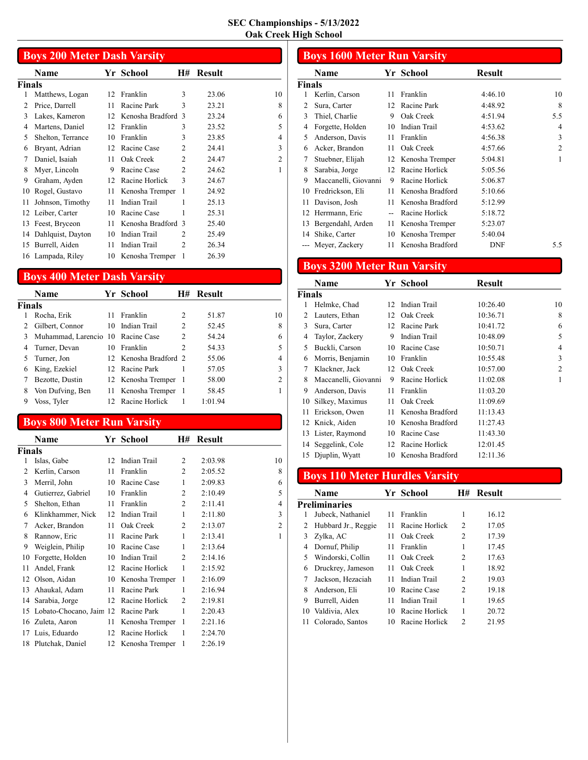|                | <b>Boys 200 Meter Dash Varsity</b> |    |                    |                |               |                |  |  |  |
|----------------|------------------------------------|----|--------------------|----------------|---------------|----------------|--|--|--|
|                | Name                               |    | Yr School          | <b>H#</b>      | <b>Result</b> |                |  |  |  |
| Finals         |                                    |    |                    |                |               |                |  |  |  |
| 1              | Matthews, Logan                    | 12 | Franklin           | 3              | 23.06         | 10             |  |  |  |
| $\overline{c}$ | Price, Darrell                     | 11 | Racine Park        | 3              | 23.21         | 8              |  |  |  |
| 3              | Lakes, Kameron                     | 12 | Kenosha Bradford 3 |                | 23.24         | 6              |  |  |  |
| 4              | Martens, Daniel                    | 12 | Franklin           | 3              | 23.52         | 5              |  |  |  |
| 5              | Shelton, Terrance                  | 10 | Franklin           | 3              | 23.85         | 4              |  |  |  |
| 6              | Bryant, Adrian                     | 12 | Racine Case        | $\overline{c}$ | 24.41         | 3              |  |  |  |
| 7              | Daniel, Isaiah                     | 11 | Oak Creek          | 2              | 24.47         | $\overline{2}$ |  |  |  |
| 8              | Myer, Lincoln                      | 9  | Racine Case        | $\mathcal{L}$  | 24.62         | 1              |  |  |  |
| 9              | Graham, Ayden                      | 12 | Racine Horlick     | 3              | 24.67         |                |  |  |  |
| 10             | Rogel, Gustavo                     | 11 | Kenosha Tremper    | 1              | 24.92         |                |  |  |  |
| 11             | Johnson, Timothy                   | 11 | Indian Trail       | 1              | 25.13         |                |  |  |  |
| 12             | Leiber, Carter                     | 10 | Racine Case        | 1              | 25.31         |                |  |  |  |
| 13             | Feest, Bryceon                     | 11 | Kenosha Bradford 3 |                | 25.40         |                |  |  |  |
| 14             | Dahlquist, Dayton                  | 10 | Indian Trail       | 2              | 25.49         |                |  |  |  |
| 15             | Burrell, Aiden                     | 11 | Indian Trail       | $\mathfrak{D}$ | 26.34         |                |  |  |  |
|                | 16 Lampada, Riley                  | 10 | Kenosha Tremper    | 1              | 26.39         |                |  |  |  |

# Boys 400 Meter Dash Varsity

|               | <b>Name</b>                       |     | Yr School             | H#             | <b>Result</b> |                |
|---------------|-----------------------------------|-----|-----------------------|----------------|---------------|----------------|
| <b>Finals</b> |                                   |     |                       |                |               |                |
|               | Rocha, Erik                       | 11  | Franklin              | 2              | 51.87         | 10             |
|               | Gilbert, Connor                   | 10  | Indian Trail          | 2              | 52.45         | 8              |
| 3             | Muhammad, Larencio 10 Racine Case |     |                       | 2              | 54.24         | 6              |
|               | Turner, Devan                     | 10. | Franklin              | $\mathfrak{D}$ | 54.33         | 5              |
| 5.            | Turner, Jon                       |     | 12 Kenosha Bradford 2 |                | 55.06         | 4              |
| 6             | King, Ezekiel                     |     | 12 Racine Park        |                | 57.05         | 3              |
|               | Bezotte, Dustin                   |     | 12 Kenosha Tremper    | - 1            | 58.00         | $\overline{2}$ |
| 8             | Von Dufving, Ben                  |     | 11 Kenosha Tremper    | - 1            | 58.45         |                |
| 9             | Voss, Tyler                       |     | Racine Horlick        |                | 1:01.94       |                |

# Boys 800 Meter Run Varsity

|               | Name                       |    | Yr School          | Н#             | <b>Result</b> |                |
|---------------|----------------------------|----|--------------------|----------------|---------------|----------------|
| <b>Finals</b> |                            |    |                    |                |               |                |
|               | Islas, Gabe                | 12 | Indian Trail       | 2              | 2:03.98       | 10             |
| 2             | Kerlin, Carson             | 11 | Franklin           | 2              | 2:05.52       | 8              |
| 3             | Merril, John               | 10 | Racine Case        | 1              | 2:09.83       | 6              |
| 4             | Gutierrez, Gabriel         | 10 | Franklin           | $\overline{c}$ | 2:10.49       | 5              |
| 5             | Shelton, Ethan             | 11 | Franklin           | 2              | 2:11.41       | $\overline{4}$ |
| 6             | Klinkhammer, Nick          | 12 | Indian Trail       | 1              | 2:11.80       | 3              |
| 7             | Acker, Brandon             | 11 | Oak Creek          | $\overline{c}$ | 2:13.07       | $\overline{2}$ |
| 8             | Rannow, Eric               | 11 | Racine Park        | $\mathbf{1}$   | 2:13.41       | 1              |
| 9             | Weiglein, Philip           | 10 | Racine Case        | 1              | 2:13.64       |                |
| 10            | Forgette, Holden           | 10 | Indian Trail       | 2              | 2:14.16       |                |
| 11            | Andel, Frank               | 12 | Racine Horlick     | 1              | 2:15.92       |                |
|               | 12 Olson, Aidan            | 10 | Kenosha Tremper    | 1              | 2:16.09       |                |
| 13            | Ahaukal, Adam              | 11 | Racine Park        | 1              | 2:16.94       |                |
| 14            | Sarabia, Jorge             | 12 | Racine Horlick     | 2              | 2:19.81       |                |
|               | 15 Lobato-Chocano, Jaim 12 |    | Racine Park        | 1              | 2:20.43       |                |
| 16            | Zuleta, Aaron              | 11 | Kenosha Tremper    | 1              | 2:21.16       |                |
| 17            | Luis, Eduardo              | 12 | Racine Horlick     | 1              | 2:24.70       |                |
|               | 18 Plutchak, Daniel        |    | 12 Kenosha Tremper | 1              | 2:26.19       |                |

|        | <b>Boys 1600 Meter Run Varsity</b> |                |                  |               |                |  |  |  |
|--------|------------------------------------|----------------|------------------|---------------|----------------|--|--|--|
|        | Name                               |                | Yr School        | <b>Result</b> |                |  |  |  |
| Finals |                                    |                |                  |               |                |  |  |  |
| 1      | Kerlin, Carson                     | 11             | Franklin         | 4:46.10       | 10             |  |  |  |
| 2      | Sura, Carter                       | 12             | Racine Park      | 4:48.92       | 8              |  |  |  |
| 3      | Thiel, Charlie                     | 9              | Oak Creek        | 4:51.94       | 5.5            |  |  |  |
| 4      | Forgette, Holden                   | 10             | Indian Trail     | 4:53.62       | 4              |  |  |  |
| 5      | Anderson, Davis                    | 11             | Franklin         | 4:56.38       | 3              |  |  |  |
| 6      | Acker, Brandon                     | 11             | Oak Creek        | 4:57.66       | $\overline{2}$ |  |  |  |
| 7      | Stuebner, Elijah                   | 12             | Kenosha Tremper  | 5:04.81       | 1              |  |  |  |
| 8      | Sarabia, Jorge                     | 12             | Racine Horlick   | 5:05.56       |                |  |  |  |
| 9      | Maccanelli, Giovanni               | 9              | Racine Horlick   | 5:06.87       |                |  |  |  |
| 10     | Fredrickson, Eli                   | 11             | Kenosha Bradford | 5:10.66       |                |  |  |  |
| 11     | Davison, Josh                      | 11             | Kenosha Bradford | 5:12.99       |                |  |  |  |
| 12     | Herrmann, Eric                     | $\overline{a}$ | Racine Horlick   | 5:18.72       |                |  |  |  |
| 13     | Bergendahl, Arden                  | 11             | Kenosha Tremper  | 5:23.07       |                |  |  |  |
| 14     | Shike, Carter                      | 10             | Kenosha Tremper  | 5:40.04       |                |  |  |  |
|        | Meyer, Zackery                     | 11             | Kenosha Bradford | DNF           | 5.5            |  |  |  |

# Boys 3200 Meter Run Varsity

|        | Name                 |    | Yr School        | <b>Result</b> |                |
|--------|----------------------|----|------------------|---------------|----------------|
| Finals |                      |    |                  |               |                |
| 1      | Helmke, Chad         | 12 | Indian Trail     | 10:26.40      | 10             |
| 2      | Lauters, Ethan       | 12 | Oak Creek        | 10:36.71      | 8              |
| 3      | Sura, Carter         | 12 | Racine Park      | 10:41.72      | 6              |
| 4      | Taylor, Zackery      | 9  | Indian Trail     | 10:48.09      | 5              |
| 5      | Buckli, Carson       | 10 | Racine Case      | 10:50.71      | 4              |
| 6      | Morris, Benjamin     | 10 | Franklin         | 10:55.48      | 3              |
| 7      | Klackner, Jack       | 12 | Oak Creek        | 10:57.00      | $\overline{2}$ |
| 8      | Maccanelli, Giovanni | 9  | Racine Horlick   | 11:02.08      | 1              |
| 9      | Anderson, Davis      | 11 | Franklin         | 11:03.20      |                |
| 10     | Silkey, Maximus      | 11 | Oak Creek        | 11:09.69      |                |
| 11     | Erickson, Owen       | 11 | Kenosha Bradford | 11:13.43      |                |
|        | 12 Knick, Aiden      | 10 | Kenosha Bradford | 11:27.43      |                |
|        | 13 Lister, Raymond   | 10 | Racine Case      | 11:43.30      |                |
|        | 14 Seggelink, Cole   | 12 | Racine Horlick   | 12:01.45      |                |
|        | 15 Djuplin, Wyatt    | 10 | Kenosha Bradford | 12:11.36      |                |

# Boys 110 Meter Hurdles Varsity

|    | Name                 |    | Yr School      | H#             | <b>Result</b> |
|----|----------------------|----|----------------|----------------|---------------|
|    | <b>Preliminaries</b> |    |                |                |               |
| 1  | Jubeck, Nathaniel    | 11 | Franklin       | 1              | 16.12         |
|    | Hubbard Jr., Reggie  | 11 | Racine Horlick | 2              | 17.05         |
|    | Zylka, AC            | 11 | Oak Creek      | $\mathcal{L}$  | 17.39         |
| 4  | Dornuf, Philip       | 11 | Franklin       | 1              | 17.45         |
| 5  | Windorski, Collin    |    | 11 Oak Creek   | 2              | 17.63         |
| 6  | Druckrey, Jameson    | 11 | Oak Creek      | 1              | 18.92         |
| 7  | Jackson, Hezaciah    | 11 | Indian Trail   | $\overline{c}$ | 19.03         |
| 8  | Anderson, Eli        | 10 | Racine Case    | 2              | 19.18         |
| 9  | Burrell, Aiden       | 11 | Indian Trail   | 1              | 19.65         |
| 10 | Valdivia, Alex       | 10 | Racine Horlick | 1              | 20.72         |
| 11 | Colorado, Santos     | 10 | Racine Horlick | $\mathfrak{D}$ | 21.95         |
|    |                      |    |                |                |               |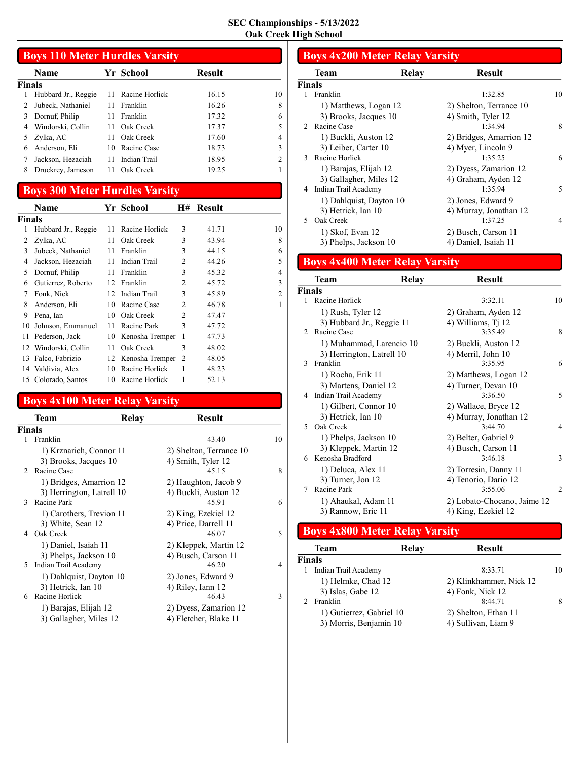|                     | <b>Boys 110 Meter Hurdles Varsity</b> |                |               |    |  |  |  |  |  |
|---------------------|---------------------------------------|----------------|---------------|----|--|--|--|--|--|
| Name                |                                       |                | <b>Result</b> |    |  |  |  |  |  |
| Finals              |                                       |                |               |    |  |  |  |  |  |
| Hubbard Jr., Reggie | 11                                    | Racine Horlick | 16.15         | 10 |  |  |  |  |  |
| Jubeck, Nathaniel   | 11                                    | Franklin       | 16.26         | 8  |  |  |  |  |  |
| Dornuf, Philip      | 11                                    | Franklin       | 17.32         | 6  |  |  |  |  |  |
| Windorski, Collin   | 11                                    | Oak Creek      | 17.37         |    |  |  |  |  |  |
| Zylka, AC           | 11                                    | Oak Creek      | 17.60         | 4  |  |  |  |  |  |
| Anderson, Eli       | 10                                    | Racine Case    | 18.73         | 3  |  |  |  |  |  |
| Jackson, Hezaciah   | 11                                    | Indian Trail   | 18.95         |    |  |  |  |  |  |
| Druckrey, Jameson   | 11                                    | Oak Creek      | 19.25         |    |  |  |  |  |  |
|                     |                                       |                | Yr School     |    |  |  |  |  |  |

## Boys 300 Meter Hurdles Varsity

|        | <b>Name</b>         |    | Yr School       | H#             | <b>Result</b> |    |
|--------|---------------------|----|-----------------|----------------|---------------|----|
| Finals |                     |    |                 |                |               |    |
| 1      | Hubbard Jr., Reggie | 11 | Racine Horlick  | 3              | 41.71         | 10 |
| 2      | Zylka, AC           | 11 | Oak Creek       | 3              | 43.94         | 8  |
| 3      | Jubeck, Nathaniel   | 11 | Franklin        | 3              | 44.15         | 6  |
| 4      | Jackson, Hezaciah   | 11 | Indian Trail    | 2              | 44.26         | 5  |
| 5      | Dornuf, Philip      | 11 | Franklin        | 3              | 45.32         | 4  |
| 6      | Gutierrez, Roberto  | 12 | Franklin        | $\mathfrak{D}$ | 45.72         | 3  |
| 7      | Fonk, Nick          | 12 | Indian Trail    | 3              | 45.89         | 2  |
| 8      | Anderson, Eli       | 10 | Racine Case     | $\overline{c}$ | 46.78         | 1  |
| 9      | Pena, Ian           | 10 | Oak Creek       | $\mathfrak{D}$ | 47.47         |    |
| 10     | Johnson, Emmanuel   | 11 | Racine Park     | 3              | 47.72         |    |
| 11     | Pederson, Jack      | 10 | Kenosha Tremper | 1              | 47.73         |    |
| 12     | Windorski, Collin   | 11 | Oak Creek       | 3              | 48.02         |    |
| 13     | Falco, Fabrizio     | 12 | Kenosha Tremper | $\overline{c}$ | 48.05         |    |
|        | 14 Valdivia, Alex   | 10 | Racine Horlick  | 1              | 48.23         |    |
|        | 15 Colorado, Santos | 10 | Racine Horlick  |                | 52.13         |    |

# Boys 4x100 Meter Relay Varsity

|               | Team                      | Relay | <b>Result</b>           |    |
|---------------|---------------------------|-------|-------------------------|----|
|               | Finals                    |       |                         |    |
| 1             | Franklin                  |       | 43.40                   | 10 |
|               | 1) Krznarich, Connor 11   |       | 2) Shelton, Terrance 10 |    |
|               | 3) Brooks, Jacques 10     |       | 4) Smith, Tyler 12      |    |
| $\mathcal{D}$ | Racine Case               |       | 45.15                   | 8  |
|               | 1) Bridges, Amarrion 12   |       | 2) Haughton, Jacob 9    |    |
|               | 3) Herrington, Latrell 10 |       | 4) Buckli, Auston 12    |    |
| 3             | Racine Park               |       | 45.91                   | 6  |
|               | 1) Carothers, Trevion 11  |       | 2) King, Ezekiel 12     |    |
|               | 3) White, Sean 12         |       | 4) Price, Darrell 11    |    |
| 4             | Oak Creek                 |       | 46.07                   | 5  |
|               | 1) Daniel, Isaiah 11      |       | 2) Kleppek, Martin 12   |    |
|               | 3) Phelps, Jackson 10     |       | 4) Busch, Carson 11     |    |
| 5             | Indian Trail Academy      |       | 46.20                   | 4  |
|               | 1) Dahlquist, Dayton 10   |       | 2) Jones, Edward 9      |    |
|               | 3) Hetrick, Ian 10        |       | 4) Riley, Iann 12       |    |
| 6             | Racine Horlick            |       | 46.43                   | 3  |
|               | 1) Barajas, Elijah 12     |       | 2) Dyess, Zamarion 12   |    |
|               | 3) Gallagher, Miles 12    |       | 4) Fletcher, Blake 11   |    |
|               |                           |       |                         |    |

## Boys 4x200 Meter Relay Varsity

|               | Team                    | <b>Relay</b> | <b>Result</b>           |                |
|---------------|-------------------------|--------------|-------------------------|----------------|
| <b>Finals</b> |                         |              |                         |                |
|               | Franklin                |              | 1:32.85                 | 10             |
|               | 1) Matthews, Logan 12   |              | 2) Shelton, Terrance 10 |                |
|               | 3) Brooks, Jacques 10   |              | 4) Smith, Tyler 12      |                |
| $\mathcal{D}$ | Racine Case             |              | 1:34.94                 | 8              |
|               | 1) Buckli, Auston 12    |              | 2) Bridges, Amarrion 12 |                |
|               | 3) Leiber, Carter 10    |              | 4) Myer, Lincoln 9      |                |
| $\mathcal{E}$ | Racine Horlick          |              | 1:35.25                 | 6              |
|               | 1) Barajas, Elijah 12   |              | 2) Dyess, Zamarion 12   |                |
|               | 3) Gallagher, Miles 12  |              | 4) Graham, Ayden 12     |                |
| 4             | Indian Trail Academy    |              | 1:35.94                 | 5              |
|               | 1) Dahlquist, Dayton 10 |              | 2) Jones, Edward 9      |                |
|               | 3) Hetrick, Ian 10      |              | 4) Murray, Jonathan 12  |                |
|               | Oak Creek               |              | 1:37.25                 | $\overline{4}$ |
|               | 1) Skof, Evan 12        |              | 2) Busch, Carson 11     |                |
|               | 3) Phelps, Jackson 10   |              | 4) Daniel, Isaiah 11    |                |

# Boys 4x400 Meter Relay Varsity

|               | Team                                                                 | Relay | <b>Result</b>                                             |    |
|---------------|----------------------------------------------------------------------|-------|-----------------------------------------------------------|----|
| <b>Finals</b> |                                                                      |       |                                                           |    |
| 1             | Racine Horlick                                                       |       | 3:32.11                                                   | 10 |
|               | 1) Rush, Tyler 12<br>3) Hubbard Jr., Reggie 11                       |       | 2) Graham, Ayden 12<br>4) Williams, Ti 12                 |    |
| $\mathcal{L}$ | Racine Case                                                          |       | 3:35.49                                                   | 8  |
| 3             | 1) Muhammad, Larencio 10<br>3) Herrington, Latrell 10<br>Franklin    |       | 2) Buckli, Auston 12<br>4) Merril, John 10<br>3:35.95     | 6  |
|               | 1) Rocha, Erik 11<br>3) Martens, Daniel 12<br>4 Indian Trail Academy |       | 2) Matthews, Logan 12<br>4) Turner, Devan 10<br>3:36.50   | 5  |
| 5             | 1) Gilbert, Connor 10<br>3) Hetrick, Ian 10<br>Oak Creek             |       | 2) Wallace, Bryce 12<br>4) Murray, Jonathan 12<br>3:44.70 | 4  |
| 6             | 1) Phelps, Jackson 10<br>3) Kleppek, Martin 12<br>Kenosha Bradford   |       | 2) Belter, Gabriel 9<br>4) Busch, Carson 11<br>3:46.18    | 3  |
| 7             | 1) Deluca, Alex 11<br>3) Turner, Jon 12<br>Racine Park               |       | 2) Torresin, Danny 11<br>4) Tenorio, Dario 12<br>3:55.06  | 2  |
|               | 1) Ahaukal, Adam 11<br>3) Rannow, Eric 11                            |       | 2) Lobato-Chocano, Jaime 12<br>4) King, Ezekiel 12        |    |

# Boys 4x800 Meter Relay Varsity

| Team                     | Relav | <b>Result</b>           |    |
|--------------------------|-------|-------------------------|----|
| Finals                   |       |                         |    |
| Indian Trail Academy     |       | 8:33.71                 | 10 |
| 1) Helmke, Chad 12       |       | 2) Klinkhammer, Nick 12 |    |
| 3) Islas, Gabe 12        |       | 4) Fonk, Nick 12        |    |
| Franklin                 |       | 8:44.71                 | 8  |
| 1) Gutierrez, Gabriel 10 |       | 2) Shelton, Ethan 11    |    |
| 3) Morris, Benjamin 10   |       | 4) Sullivan, Liam 9     |    |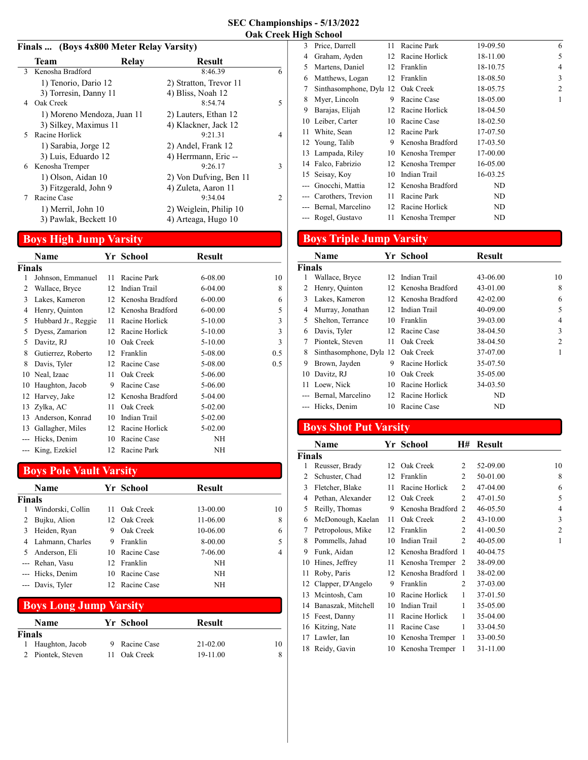#### Finals ... (Boys 4x800 Meter Relay Varsity)

|    | <b>Team</b>                | Relay | <b>Result</b>          |                |
|----|----------------------------|-------|------------------------|----------------|
| 3  | Kenosha Bradford           |       | 8:46.39                | 6              |
|    | 1) Tenorio, Dario 12       |       | 2) Stratton, Trevor 11 |                |
|    | 3) Torresin, Danny 11      |       | 4) Bliss, Noah 12      |                |
| 4  | Oak Creek                  |       | 8:54.74                | 5              |
|    | 1) Moreno Mendoza, Juan 11 |       | 2) Lauters, Ethan 12   |                |
|    | 3) Silkey, Maximus 11      |       | 4) Klackner, Jack 12   |                |
| 5. | Racine Horlick             |       | 9:21.31                | 4              |
|    | 1) Sarabia, Jorge 12       |       | 2) Andel, Frank 12     |                |
|    | 3) Luis, Eduardo 12        |       | 4) Herrmann, Eric --   |                |
| 6  | Kenosha Tremper            |       | 9:26.17                | 3              |
|    | 1) Olson, Aidan 10         |       | 2) Von Dufving, Ben 11 |                |
|    | 3) Fitzgerald, John 9      |       | 4) Zuleta, Aaron 11    |                |
| 7  | Racine Case                |       | 9:34.04                | $\mathfrak{D}$ |
|    | 1) Merril, John 10         |       | 2) Weiglein, Philip 10 |                |
|    | 3) Pawlak, Beckett 10      |       | 4) Arteaga, Hugo 10    |                |
|    |                            |       |                        |                |

# Boys High Jump Varsity

|               | Name                |    | Yr School        | Result      |     |
|---------------|---------------------|----|------------------|-------------|-----|
| <b>Finals</b> |                     |    |                  |             |     |
| 1             | Johnson, Emmanuel   | 11 | Racine Park      | 6-08.00     | 10  |
| 2             | Wallace, Bryce      | 12 | Indian Trail     | $6-04.00$   | 8   |
| 3             | Lakes, Kameron      | 12 | Kenosha Bradford | $6 - 00.00$ | 6   |
| 4             | Henry, Quinton      | 12 | Kenosha Bradford | $6 - 00.00$ | 5   |
| 5             | Hubbard Jr., Reggie | 11 | Racine Horlick   | $5-10.00$   | 3   |
| 5             | Dyess, Zamarion     | 12 | Racine Horlick   | $5-10.00$   | 3   |
| 5             | Davitz, RJ          | 10 | Oak Creek        | $5-10.00$   | 3   |
| 8             | Gutierrez, Roberto  | 12 | Franklin         | 5-08.00     | 0.5 |
| 8             | Davis, Tyler        | 12 | Racine Case      | 5-08.00     | 0.5 |
| 10            | Neal, Izaac         | 11 | Oak Creek        | 5-06.00     |     |
| 10            | Haughton, Jacob     | 9  | Racine Case      | 5-06.00     |     |
|               | 12 Harvey, Jake     | 12 | Kenosha Bradford | 5-04.00     |     |
| 13            | Zylka, AC           | 11 | Oak Creek        | 5-02.00     |     |
| 13            | Anderson, Konrad    | 10 | Indian Trail     | 5-02.00     |     |
| 13            | Gallagher, Miles    | 12 | Racine Horlick   | 5-02.00     |     |
|               | Hicks, Denim        | 10 | Racine Case      | NH          |     |
|               | --- King, Ezekiel   | 12 | Racine Park      | <b>NH</b>   |     |

## Boys Pole Vault Varsity

|               |                   |     | . .         |          |    |
|---------------|-------------------|-----|-------------|----------|----|
|               | <b>Name</b>       |     | Yr School   | Result   |    |
| <b>Finals</b> |                   |     |             |          |    |
| 1             | Windorski, Collin | 11. | Oak Creek   | 13-00.00 | 10 |
|               | Bujku, Alion      | 12. | Oak Creek   | 11-06.00 | 8  |
| 3             | Heiden, Ryan      | 9   | Oak Creek   | 10-06.00 | 6  |
| 4             | Lahmann, Charles  | 9   | Franklin    | 8-00.00  | 5  |
|               | Anderson, Eli     | 10. | Racine Case | 7-06.00  | 4  |
|               | --- Rehan, Vasu   | 12. | Franklin    | NH       |    |
|               | --- Hicks, Denim  | 10  | Racine Case | NH       |    |
|               | --- Davis, Tyler  | 12. | Racine Case | NΗ       |    |
|               |                   |     |             |          |    |

## Boys Long Jump Varsity

|        | <b>Name</b>       | Yr School   | <b>Result</b> |    |
|--------|-------------------|-------------|---------------|----|
| Finals |                   |             |               |    |
|        | Haughton, Jacob   | Racine Case | $21 - 02.00$  | 10 |
|        | 2 Piontek, Steven | Oak Creek   | 19-11.00      |    |

| Price, Darrell  | 11                                                                                                                                                                      | Racine Park             | 19-09.50                                                                                                           | 6 |
|-----------------|-------------------------------------------------------------------------------------------------------------------------------------------------------------------------|-------------------------|--------------------------------------------------------------------------------------------------------------------|---|
| Graham, Ayden   |                                                                                                                                                                         |                         | 18-11.00                                                                                                           | 5 |
| Martens, Daniel |                                                                                                                                                                         |                         | 18-10.75                                                                                                           | 4 |
| Matthews, Logan | 12                                                                                                                                                                      | Franklin                | 18-08.50                                                                                                           | 3 |
|                 |                                                                                                                                                                         | Oak Creek               | 18-05.75                                                                                                           | 2 |
| Myer, Lincoln   | 9                                                                                                                                                                       | Racine Case             | 18-05.00                                                                                                           | 1 |
| Barajas, Elijah | 12                                                                                                                                                                      |                         | 18-04.50                                                                                                           |   |
|                 | 10                                                                                                                                                                      | Racine Case             | 18-02.50                                                                                                           |   |
| White, Sean     | 12                                                                                                                                                                      | Racine Park             | 17-07.50                                                                                                           |   |
|                 | 9                                                                                                                                                                       | Kenosha Bradford        | 17-03.50                                                                                                           |   |
|                 |                                                                                                                                                                         |                         | 17-00.00                                                                                                           |   |
|                 |                                                                                                                                                                         |                         | 16-05.00                                                                                                           |   |
|                 | 10                                                                                                                                                                      | Indian Trail            | 16-03.25                                                                                                           |   |
| Gnocchi, Mattia | 12                                                                                                                                                                      |                         | ND                                                                                                                 |   |
|                 | 11                                                                                                                                                                      | Racine Park             | ND                                                                                                                 |   |
|                 | 12                                                                                                                                                                      | Racine Horlick          | ND                                                                                                                 |   |
|                 | 11                                                                                                                                                                      | Kenosha Tremper         | ND                                                                                                                 |   |
|                 | Leiber, Carter<br>12 Young, Talib<br>13 Lampada, Riley<br>14 Falco, Fabrizio<br>15 Seisay, Koy<br>--- Carothers, Trevion<br>--- Bernal, Marcelino<br>--- Rogel, Gustavo | Sinthasomphone, Dyla 12 | 12 Racine Horlick<br>12 Franklin<br>Racine Horlick<br>10 Kenosha Tremper<br>12 Kenosha Tremper<br>Kenosha Bradford |   |

# Boys Triple Jump Varsity

|        | Name                              |    | Yr School           | <b>Result</b> |                |
|--------|-----------------------------------|----|---------------------|---------------|----------------|
| Finals |                                   |    |                     |               |                |
| 1      | Wallace, Bryce                    |    | 12 Indian Trail     | 43-06.00      | 10             |
| 2      | Henry, Quinton                    |    | 12 Kenosha Bradford | 43-01.00      | 8              |
| 3      | Lakes, Kameron                    |    | 12 Kenosha Bradford | $42 - 02.00$  | 6              |
| 4      | Murray, Jonathan                  | 12 | Indian Trail        | 40-09.00      | 5              |
| 5      | Shelton, Terrance                 | 10 | Franklin            | 39-03.00      | 4              |
| 6      | Davis, Tyler                      |    | 12 Racine Case      | 38-04.50      | 3              |
| 7      | Piontek, Steven                   | 11 | Oak Creek           | 38-04.50      | $\overline{c}$ |
| 8      | Sinthasomphone, Dyla 12 Oak Creek |    |                     | 37-07.00      | 1              |
| 9      | Brown, Jayden                     | 9  | Racine Horlick      | 35-07.50      |                |
| 10     | Davitz, RJ                        | 10 | Oak Creek           | 35-05.00      |                |
| 11     | Loew, Nick                        | 10 | Racine Horlick      | 34-03.50      |                |
|        | Bernal, Marcelino                 |    | 12 Racine Horlick   | ND            |                |
|        | Hicks, Denim                      | 10 | Racine Case         | ND            |                |

# Boys Shot Put Varsity

|        | Name                 |    | Yr School         | Η#                          | Result   |                |
|--------|----------------------|----|-------------------|-----------------------------|----------|----------------|
| Finals |                      |    |                   |                             |          |                |
| 1      | Reusser, Brady       | 12 | Oak Creek         | 2                           | 52-09.00 | 10             |
| 2      | Schuster, Chad       | 12 | Franklin          | 2                           | 50-01.00 | 8              |
| 3      | Fletcher, Blake      | 11 | Racine Horlick    | 2                           | 47-04.00 | 6              |
| 4      | Pethan, Alexander    | 12 | Oak Creek         | 2                           | 47-01.50 | 5              |
| 5      | Reilly, Thomas       | 9  | Kenosha Bradford  | 2                           | 46-05.50 | 4              |
| 6      | McDonough, Kaelan    | 11 | Oak Creek         | 2                           | 43-10.00 | 3              |
| 7      | Petropolous, Mike    | 12 | Franklin          | $\mathcal{D}_{\mathcal{L}}$ | 41-00.50 | $\overline{2}$ |
| 8      | Pommells, Jahad      | 10 | Indian Trail      | 2                           | 40-05.00 | 1              |
| 9      | Funk, Aidan          | 12 | Kenosha Bradford  | $\overline{1}$              | 40-04.75 |                |
| 10     | Hines, Jeffrey       | 11 | Kenosha Tremper 2 |                             | 38-09.00 |                |
| 11     | Roby, Paris          | 12 | Kenosha Bradford  | - 1                         | 38-02.00 |                |
|        | 12 Clapper, D'Angelo | 9  | Franklin          | 2                           | 37-03.00 |                |
| 13     | Mcintosh, Cam        | 10 | Racine Horlick    | 1                           | 37-01.50 |                |
| 14     | Banaszak, Mitchell   | 10 | Indian Trail      | 1                           | 35-05.00 |                |
|        | 15 Feest, Danny      | 11 | Racine Horlick    | 1                           | 35-04.00 |                |
| 16     | Kitzing, Nate        | 11 | Racine Case       | 1                           | 33-04.50 |                |
| 17     | Lawler, Ian          | 10 | Kenosha Tremper   | 1                           | 33-00.50 |                |
|        | 18 Reidy, Gavin      | 10 | Kenosha Tremper   | 1                           | 31-11.00 |                |